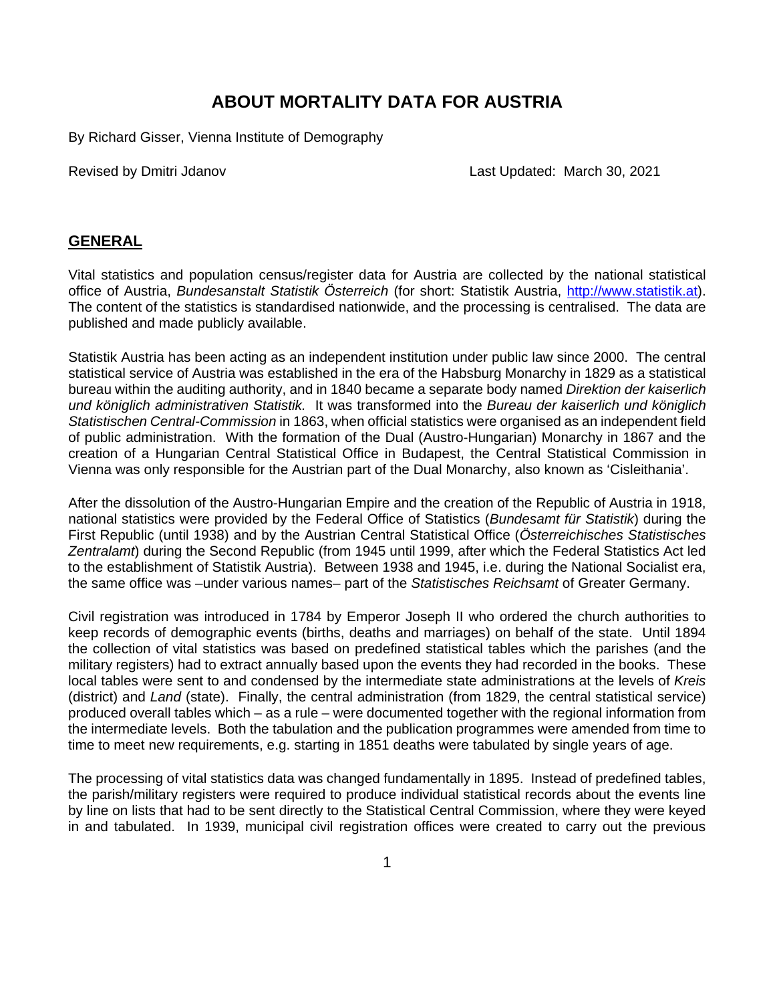## **ABOUT MORTALITY DATA FOR AUSTRIA**

By Richard Gisser, Vienna Institute of Demography

Revised by Dmitri Jdanov Last Updated: March 30, 2021

### **GENERAL**

Vital statistics and population census/register data for Austria are collected by the national statistical office of Austria, *Bundesanstalt Statistik Österreich* (for short: Statistik Austria, [http://www.statistik.at\)](http://www.statistik.at/). The content of the statistics is standardised nationwide, and the processing is centralised. The data are published and made publicly available.

Statistik Austria has been acting as an independent institution under public law since 2000. The central statistical service of Austria was established in the era of the Habsburg Monarchy in 1829 as a statistical bureau within the auditing authority, and in 1840 became a separate body named *Direktion der kaiserlich und königlich administrativen Statistik.* It was transformed into the *Bureau der kaiserlich und königlich Statistischen Central-Commission* in 1863, when official statistics were organised as an independent field of public administration. With the formation of the Dual (Austro-Hungarian) Monarchy in 1867 and the creation of a Hungarian Central Statistical Office in Budapest, the Central Statistical Commission in Vienna was only responsible for the Austrian part of the Dual Monarchy, also known as 'Cisleithania'.

After the dissolution of the Austro-Hungarian Empire and the creation of the Republic of Austria in 1918, national statistics were provided by the Federal Office of Statistics (*Bundesamt für Statistik*) during the First Republic (until 1938) and by the Austrian Central Statistical Office (*Österreichisches Statistisches Zentralamt*) during the Second Republic (from 1945 until 1999, after which the Federal Statistics Act led to the establishment of Statistik Austria). Between 1938 and 1945, i.e. during the National Socialist era, the same office was –under various names– part of the *Statistisches Reichsamt* of Greater Germany.

Civil registration was introduced in 1784 by Emperor Joseph II who ordered the church authorities to keep records of demographic events (births, deaths and marriages) on behalf of the state. Until 1894 the collection of vital statistics was based on predefined statistical tables which the parishes (and the military registers) had to extract annually based upon the events they had recorded in the books. These local tables were sent to and condensed by the intermediate state administrations at the levels of *Kreis* (district) and *Land* (state). Finally, the central administration (from 1829, the central statistical service) produced overall tables which – as a rule – were documented together with the regional information from the intermediate levels. Both the tabulation and the publication programmes were amended from time to time to meet new requirements, e.g. starting in 1851 deaths were tabulated by single years of age.

The processing of vital statistics data was changed fundamentally in 1895. Instead of predefined tables, the parish/military registers were required to produce individual statistical records about the events line by line on lists that had to be sent directly to the Statistical Central Commission, where they were keyed in and tabulated. In 1939, municipal civil registration offices were created to carry out the previous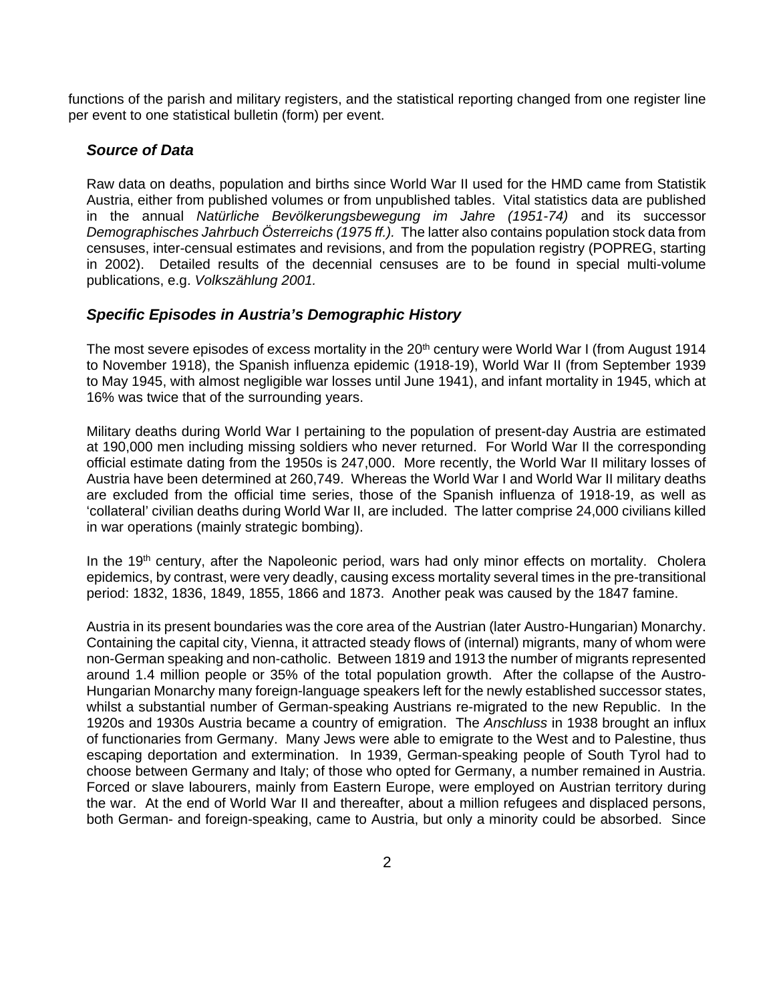functions of the parish and military registers, and the statistical reporting changed from one register line per event to one statistical bulletin (form) per event.

## *Source of Data*

Raw data on deaths, population and births since World War II used for the HMD came from Statistik Austria, either from published volumes or from unpublished tables. Vital statistics data are published in the annual *Natürliche Bevölkerungsbewegung im Jahre (1951-74)* and its successor *Demographisches Jahrbuch Österreichs (1975 ff.).* The latter also contains population stock data from censuses, inter-censual estimates and revisions, and from the population registry (POPREG, starting in 2002). Detailed results of the decennial censuses are to be found in special multi-volume publications, e.g. *Volkszählung 2001.* 

### *Specific Episodes in Austria's Demographic History*

The most severe episodes of excess mortality in the 20<sup>th</sup> century were World War I (from August 1914 to November 1918), the Spanish influenza epidemic (1918-19), World War II (from September 1939 to May 1945, with almost negligible war losses until June 1941), and infant mortality in 1945, which at 16% was twice that of the surrounding years.

Military deaths during World War I pertaining to the population of present-day Austria are estimated at 190,000 men including missing soldiers who never returned. For World War II the corresponding official estimate dating from the 1950s is 247,000. More recently, the World War II military losses of Austria have been determined at 260,749. Whereas the World War I and World War II military deaths are excluded from the official time series, those of the Spanish influenza of 1918-19, as well as 'collateral' civilian deaths during World War II, are included. The latter comprise 24,000 civilians killed in war operations (mainly strategic bombing).

In the 19<sup>th</sup> century, after the Napoleonic period, wars had only minor effects on mortality. Cholera epidemics, by contrast, were very deadly, causing excess mortality several times in the pre-transitional period: 1832, 1836, 1849, 1855, 1866 and 1873. Another peak was caused by the 1847 famine.

Austria in its present boundaries was the core area of the Austrian (later Austro-Hungarian) Monarchy. Containing the capital city, Vienna, it attracted steady flows of (internal) migrants, many of whom were non-German speaking and non-catholic. Between 1819 and 1913 the number of migrants represented around 1.4 million people or 35% of the total population growth. After the collapse of the Austro-Hungarian Monarchy many foreign-language speakers left for the newly established successor states, whilst a substantial number of German-speaking Austrians re-migrated to the new Republic. In the 1920s and 1930s Austria became a country of emigration. The *Anschluss* in 1938 brought an influx of functionaries from Germany. Many Jews were able to emigrate to the West and to Palestine, thus escaping deportation and extermination. In 1939, German-speaking people of South Tyrol had to choose between Germany and Italy; of those who opted for Germany, a number remained in Austria. Forced or slave labourers, mainly from Eastern Europe, were employed on Austrian territory during the war. At the end of World War II and thereafter, about a million refugees and displaced persons, both German- and foreign-speaking, came to Austria, but only a minority could be absorbed. Since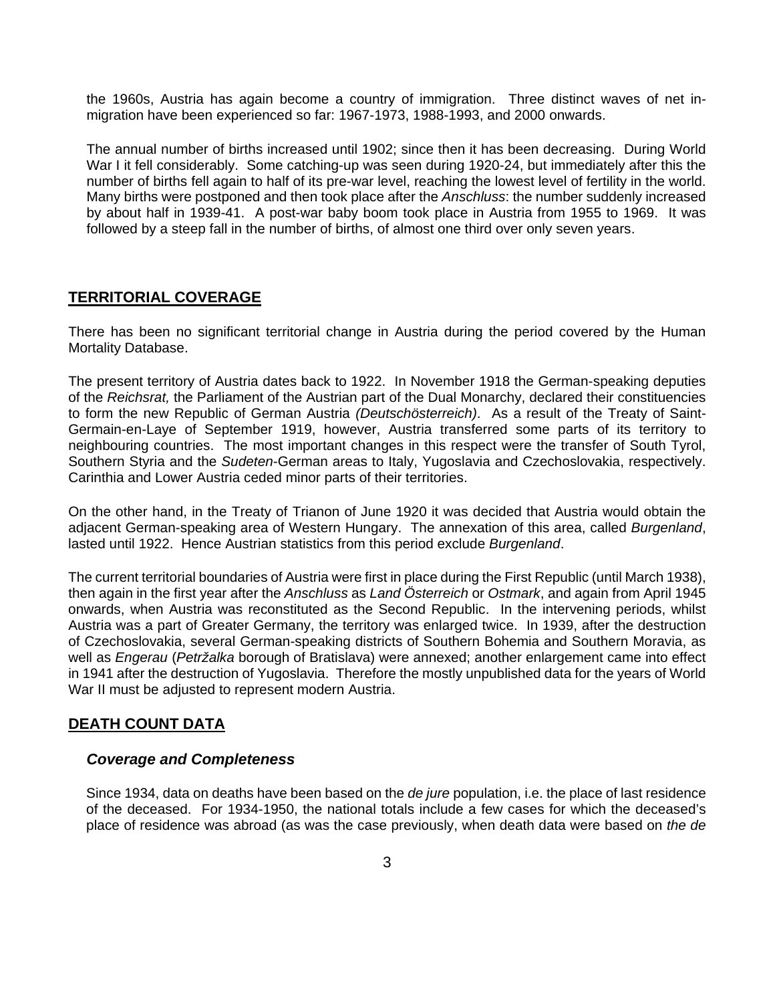the 1960s, Austria has again become a country of immigration. Three distinct waves of net inmigration have been experienced so far: 1967-1973, 1988-1993, and 2000 onwards.

The annual number of births increased until 1902; since then it has been decreasing. During World War I it fell considerably. Some catching-up was seen during 1920-24, but immediately after this the number of births fell again to half of its pre-war level, reaching the lowest level of fertility in the world. Many births were postponed and then took place after the *Anschluss*: the number suddenly increased by about half in 1939-41. A post-war baby boom took place in Austria from 1955 to 1969. It was followed by a steep fall in the number of births, of almost one third over only seven years.

### **TERRITORIAL COVERAGE**

There has been no significant territorial change in Austria during the period covered by the Human Mortality Database.

The present territory of Austria dates back to 1922. In November 1918 the German-speaking deputies of the *Reichsrat,* the Parliament of the Austrian part of the Dual Monarchy, declared their constituencies to form the new Republic of German Austria *(Deutschösterreich)*. As a result of the Treaty of Saint-Germain-en-Laye of September 1919, however, Austria transferred some parts of its territory to neighbouring countries. The most important changes in this respect were the transfer of South Tyrol, Southern Styria and the *Sudeten*-German areas to Italy, Yugoslavia and Czechoslovakia, respectively. Carinthia and Lower Austria ceded minor parts of their territories.

On the other hand, in the Treaty of Trianon of June 1920 it was decided that Austria would obtain the adjacent German-speaking area of Western Hungary. The annexation of this area, called *Burgenland*, lasted until 1922. Hence Austrian statistics from this period exclude *Burgenland*.

The current territorial boundaries of Austria were first in place during the First Republic (until March 1938), then again in the first year after the *Anschluss* as *Land Österreich* or *Ostmark*, and again from April 1945 onwards, when Austria was reconstituted as the Second Republic. In the intervening periods, whilst Austria was a part of Greater Germany, the territory was enlarged twice. In 1939, after the destruction of Czechoslovakia, several German-speaking districts of Southern Bohemia and Southern Moravia, as well as *Engerau* (*Petržalka* borough of Bratislava) were annexed; another enlargement came into effect in 1941 after the destruction of Yugoslavia. Therefore the mostly unpublished data for the years of World War II must be adjusted to represent modern Austria.

### **DEATH COUNT DATA**

#### *Coverage and Completeness*

Since 1934, data on deaths have been based on the *de jure* population, i.e. the place of last residence of the deceased. For 1934-1950, the national totals include a few cases for which the deceased's place of residence was abroad (as was the case previously, when death data were based on *the de*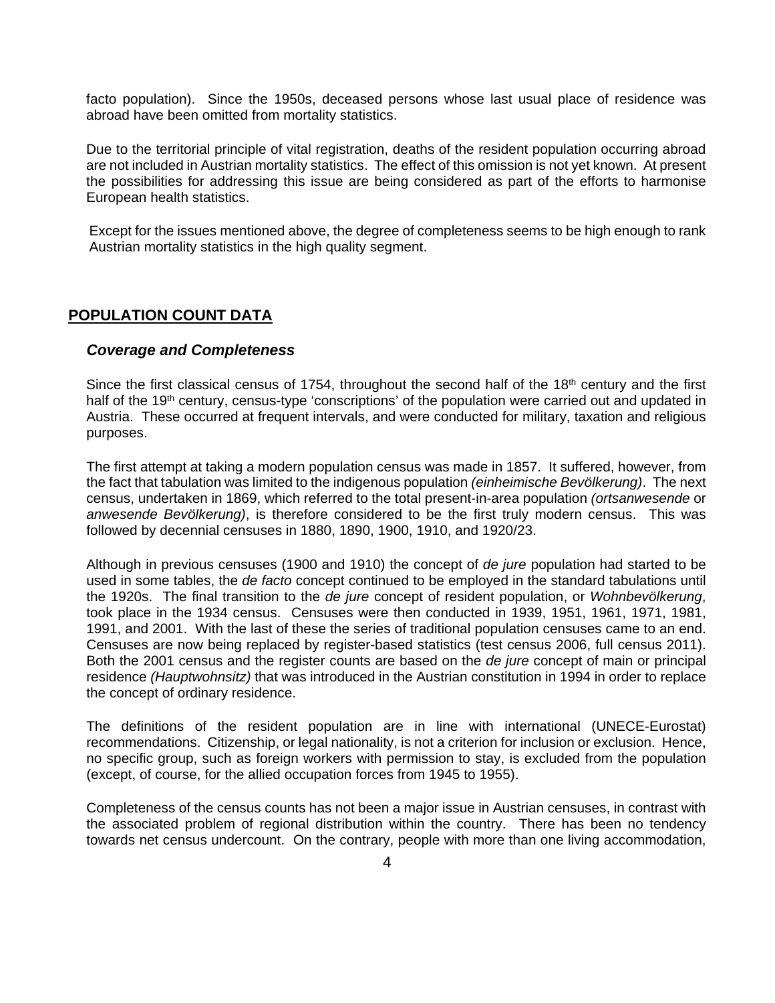facto population). Since the 1950s, deceased persons whose last usual place of residence was abroad have been omitted from mortality statistics.

Due to the territorial principle of vital registration, deaths of the resident population occurring abroad are not included in Austrian mortality statistics. The effect of this omission is not yet known. At present the possibilities for addressing this issue are being considered as part of the efforts to harmonise European health statistics.

Except for the issues mentioned above, the degree of completeness seems to be high enough to rank Austrian mortality statistics in the high quality segment.

#### **POPULATION COUNT DATA**

#### *Coverage and Completeness*

Since the first classical census of 1754, throughout the second half of the  $18<sup>th</sup>$  century and the first half of the 19<sup>th</sup> century, census-type 'conscriptions' of the population were carried out and updated in Austria. These occurred at frequent intervals, and were conducted for military, taxation and religious purposes.

The first attempt at taking a modern population census was made in 1857. It suffered, however, from the fact that tabulation was limited to the indigenous population *(einheimische Bevölkerung)*. The next census, undertaken in 1869, which referred to the total present-in-area population *(ortsanwesende* or *anwesende Bevölkerung)*, is therefore considered to be the first truly modern census. This was followed by decennial censuses in 1880, 1890, 1900, 1910, and 1920/23.

Although in previous censuses (1900 and 1910) the concept of *de jure* population had started to be used in some tables, the *de facto* concept continued to be employed in the standard tabulations until the 1920s. The final transition to the *de jure* concept of resident population, or *Wohnbevölkerung*, took place in the 1934 census. Censuses were then conducted in 1939, 1951, 1961, 1971, 1981, 1991, and 2001. With the last of these the series of traditional population censuses came to an end. Censuses are now being replaced by register-based statistics (test census 2006, full census 2011). Both the 2001 census and the register counts are based on the *de jure* concept of main or principal residence *(Hauptwohnsitz)* that was introduced in the Austrian constitution in 1994 in order to replace the concept of ordinary residence.

The definitions of the resident population are in line with international (UNECE-Eurostat) recommendations. Citizenship, or legal nationality, is not a criterion for inclusion or exclusion. Hence, no specific group, such as foreign workers with permission to stay, is excluded from the population (except, of course, for the allied occupation forces from 1945 to 1955).

Completeness of the census counts has not been a major issue in Austrian censuses, in contrast with the associated problem of regional distribution within the country. There has been no tendency towards net census undercount. On the contrary, people with more than one living accommodation,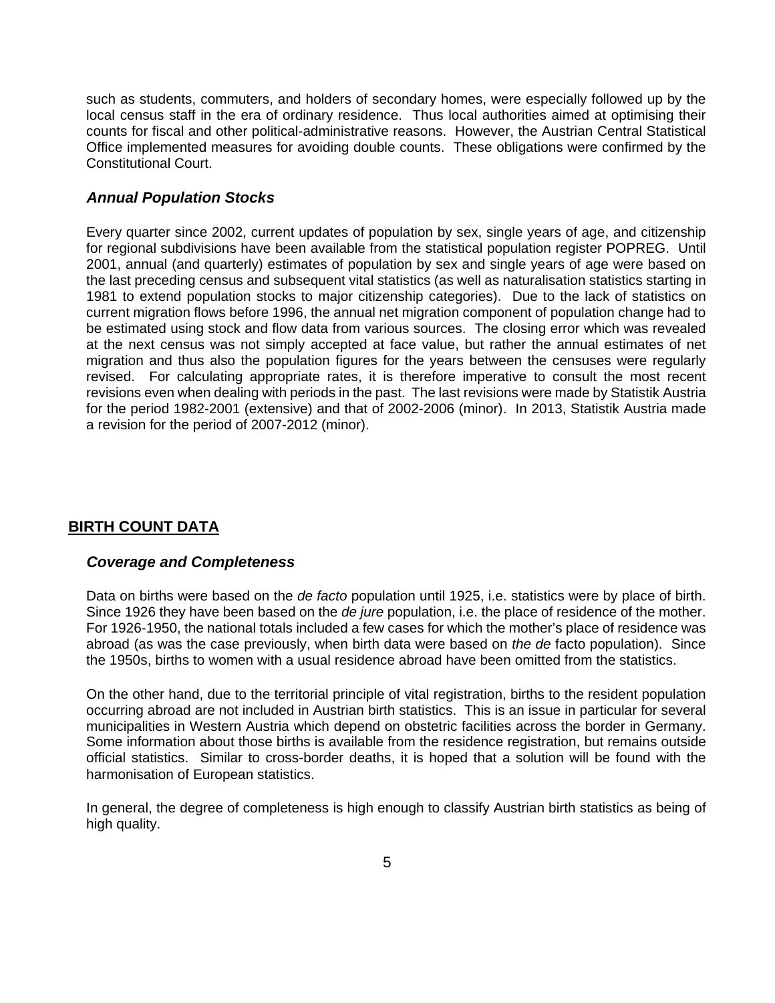such as students, commuters, and holders of secondary homes, were especially followed up by the local census staff in the era of ordinary residence. Thus local authorities aimed at optimising their counts for fiscal and other political-administrative reasons. However, the Austrian Central Statistical Office implemented measures for avoiding double counts. These obligations were confirmed by the Constitutional Court.

#### *Annual Population Stocks*

Every quarter since 2002, current updates of population by sex, single years of age, and citizenship for regional subdivisions have been available from the statistical population register POPREG. Until 2001, annual (and quarterly) estimates of population by sex and single years of age were based on the last preceding census and subsequent vital statistics (as well as naturalisation statistics starting in 1981 to extend population stocks to major citizenship categories). Due to the lack of statistics on current migration flows before 1996, the annual net migration component of population change had to be estimated using stock and flow data from various sources. The closing error which was revealed at the next census was not simply accepted at face value, but rather the annual estimates of net migration and thus also the population figures for the years between the censuses were regularly revised. For calculating appropriate rates, it is therefore imperative to consult the most recent revisions even when dealing with periods in the past. The last revisions were made by Statistik Austria for the period 1982-2001 (extensive) and that of 2002-2006 (minor). In 2013, Statistik Austria made a revision for the period of 2007-2012 (minor).

## **BIRTH COUNT DATA**

#### *Coverage and Completeness*

Data on births were based on the *de facto* population until 1925, i.e. statistics were by place of birth. Since 1926 they have been based on the *de jure* population, i.e. the place of residence of the mother. For 1926-1950, the national totals included a few cases for which the mother's place of residence was abroad (as was the case previously, when birth data were based on *the de* facto population). Since the 1950s, births to women with a usual residence abroad have been omitted from the statistics.

On the other hand, due to the territorial principle of vital registration, births to the resident population occurring abroad are not included in Austrian birth statistics. This is an issue in particular for several municipalities in Western Austria which depend on obstetric facilities across the border in Germany. Some information about those births is available from the residence registration, but remains outside official statistics. Similar to cross-border deaths, it is hoped that a solution will be found with the harmonisation of European statistics.

In general, the degree of completeness is high enough to classify Austrian birth statistics as being of high quality.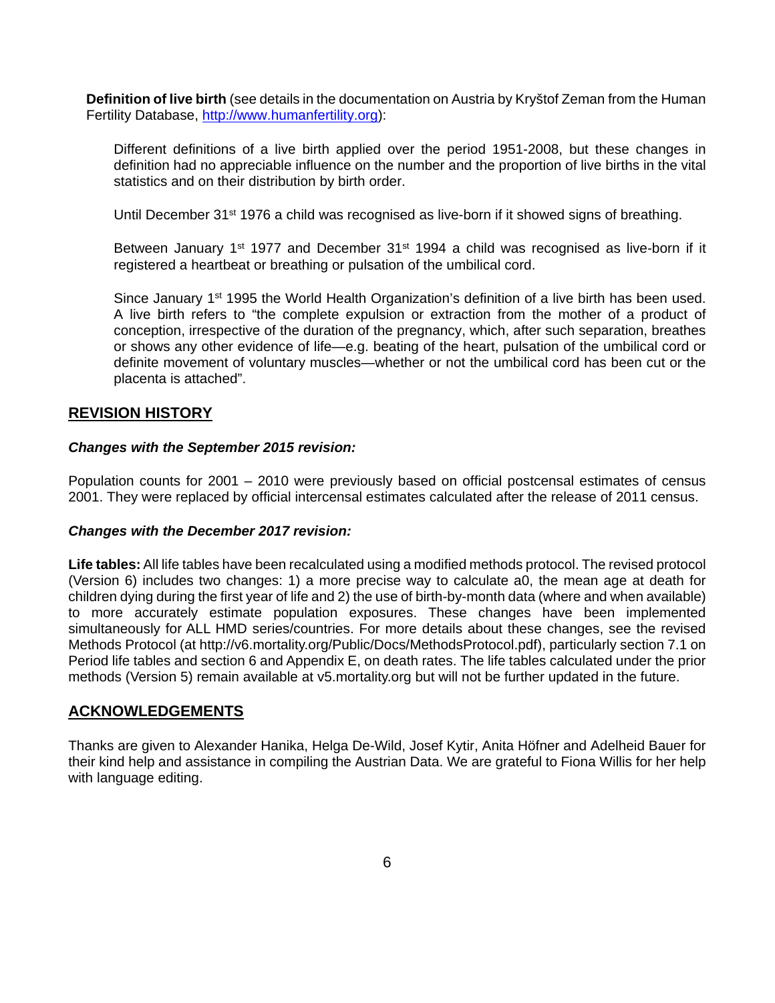**Definition of live birth** (see details in the documentation on Austria by Kryštof Zeman from the Human Fertility Database, [http://www.humanfertility.org\)](http://www.humanfertility.org/):

Different definitions of a live birth applied over the period 1951-2008, but these changes in definition had no appreciable influence on the number and the proportion of live births in the vital statistics and on their distribution by birth order.

Until December  $31^{st}$  1976 a child was recognised as live-born if it showed signs of breathing.

Between January 1<sup>st</sup> 1977 and December 31<sup>st</sup> 1994 a child was recognised as live-born if it registered a heartbeat or breathing or pulsation of the umbilical cord.

Since January  $1<sup>st</sup>$  1995 the World Health Organization's definition of a live birth has been used. A live birth refers to "the complete expulsion or extraction from the mother of a product of conception, irrespective of the duration of the pregnancy, which, after such separation, breathes or shows any other evidence of life—e.g. beating of the heart, pulsation of the umbilical cord or definite movement of voluntary muscles—whether or not the umbilical cord has been cut or the placenta is attached".

### **REVISION HISTORY**

#### *Changes with the September 2015 revision:*

Population counts for 2001 – 2010 were previously based on official postcensal estimates of census 2001. They were replaced by official intercensal estimates calculated after the release of 2011 census.

#### *Changes with the December 2017 revision:*

**Life tables:** All life tables have been recalculated using a modified methods protocol. The revised protocol (Version 6) includes two changes: 1) a more precise way to calculate a0, the mean age at death for children dying during the first year of life and 2) the use of birth-by-month data (where and when available) to more accurately estimate population exposures. These changes have been implemented simultaneously for ALL HMD series/countries. For more details about these changes, see the revised Methods Protocol (at http://v6.mortality.org/Public/Docs/MethodsProtocol.pdf), particularly section 7.1 on Period life tables and section 6 and Appendix E, on death rates. The life tables calculated under the prior methods (Version 5) remain available at v5.mortality.org but will not be further updated in the future.

### **ACKNOWLEDGEMENTS**

Thanks are given to Alexander Hanika, Helga De-Wild, Josef Kytir, Anita Höfner and Adelheid Bauer for their kind help and assistance in compiling the Austrian Data. We are grateful to Fiona Willis for her help with language editing.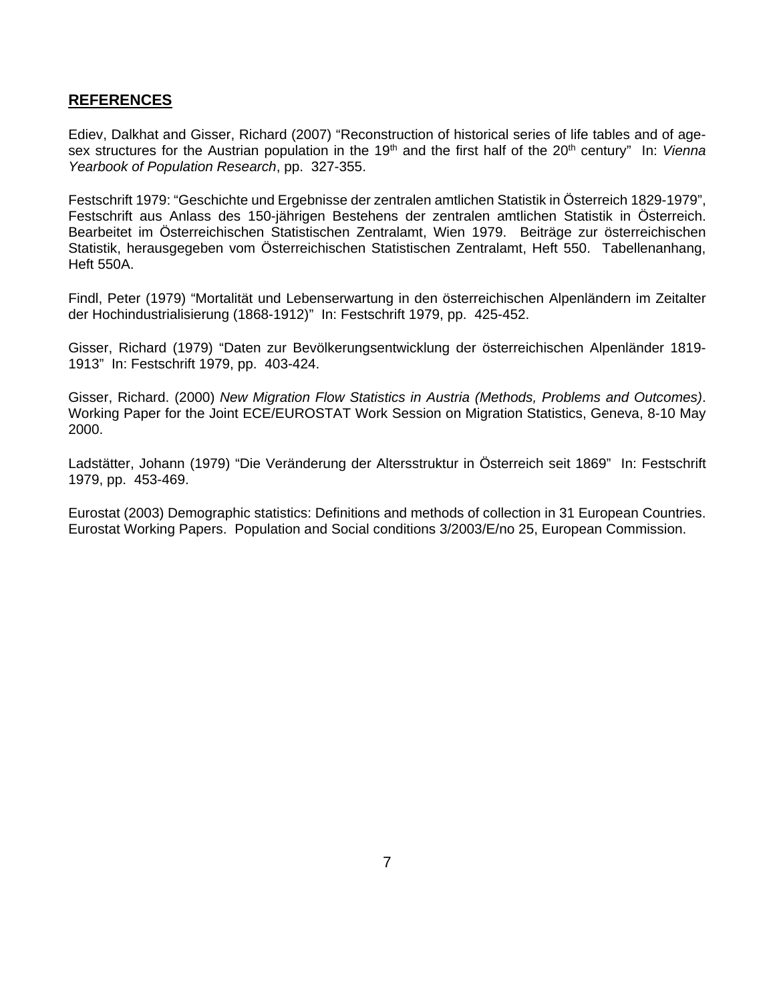### **REFERENCES**

Ediev, Dalkhat and Gisser, Richard (2007) "Reconstruction of historical series of life tables and of agesex structures for the Austrian population in the 19<sup>th</sup> and the first half of the 20<sup>th</sup> century" In: *Vienna Yearbook of Population Research*, pp. 327-355.

Festschrift 1979: "Geschichte und Ergebnisse der zentralen amtlichen Statistik in Österreich 1829-1979", Festschrift aus Anlass des 150-jährigen Bestehens der zentralen amtlichen Statistik in Österreich. Bearbeitet im Österreichischen Statistischen Zentralamt, Wien 1979. Beiträge zur österreichischen Statistik, herausgegeben vom Österreichischen Statistischen Zentralamt, Heft 550. Tabellenanhang, Heft 550A.

Findl, Peter (1979) "Mortalität und Lebenserwartung in den österreichischen Alpenländern im Zeitalter der Hochindustrialisierung (1868-1912)" In: Festschrift 1979, pp. 425-452.

Gisser, Richard (1979) "Daten zur Bevölkerungsentwicklung der österreichischen Alpenländer 1819- 1913" In: Festschrift 1979, pp. 403-424.

Gisser, Richard. (2000) *New Migration Flow Statistics in Austria (Methods, Problems and Outcomes)*. Working Paper for the Joint ECE/EUROSTAT Work Session on Migration Statistics, Geneva, 8-10 May 2000.

Ladstätter, Johann (1979) "Die Veränderung der Altersstruktur in Österreich seit 1869" In: Festschrift 1979, pp. 453-469.

Eurostat (2003) Demographic statistics: Definitions and methods of collection in 31 European Countries. Eurostat Working Papers. Population and Social conditions 3/2003/E/no 25, European Commission.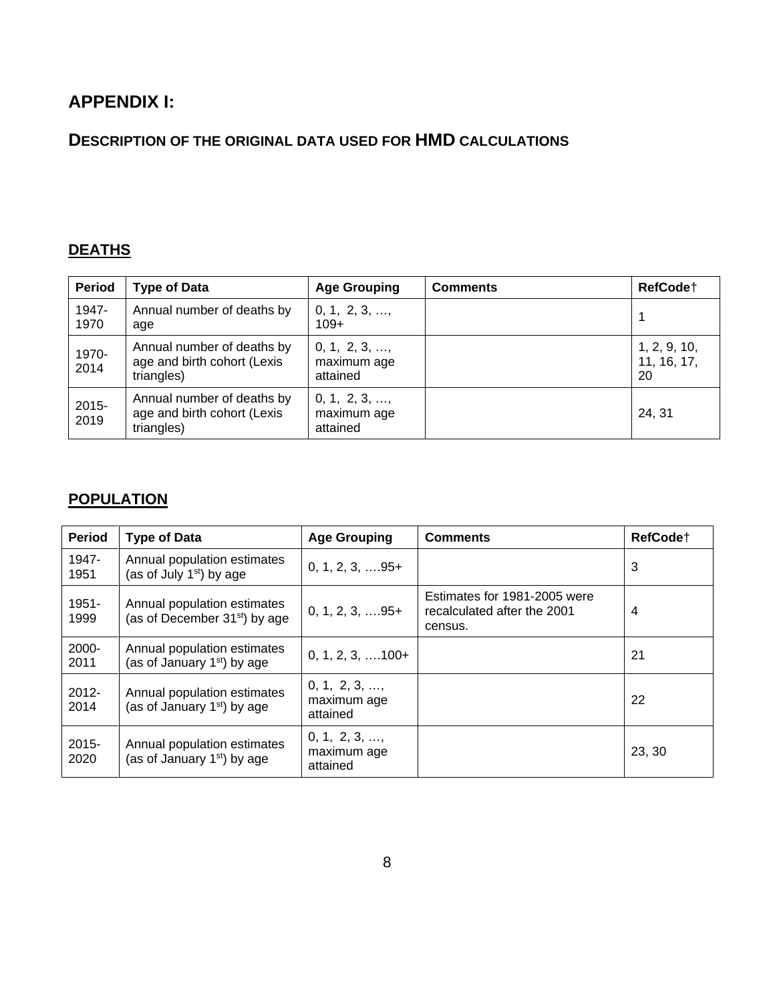# **APPENDIX I:**

# **DESCRIPTION OF THE ORIGINAL DATA USED FOR HMD CALCULATIONS**

## **DEATHS**

| <b>Period</b>    | <b>Type of Data</b>                                                     | <b>Age Grouping</b>                              | <b>Comments</b> | RefCode <sup>+</sup>              |
|------------------|-------------------------------------------------------------------------|--------------------------------------------------|-----------------|-----------------------------------|
| 1947-<br>1970    | Annual number of deaths by<br>age                                       | $0, 1, 2, 3, \ldots,$<br>$109+$                  |                 |                                   |
| 1970-<br>2014    | Annual number of deaths by<br>age and birth cohort (Lexis<br>triangles) | $0, 1, 2, 3, \ldots,$<br>maximum age<br>attained |                 | 1, 2, 9, 10,<br>11, 16, 17,<br>20 |
| $2015 -$<br>2019 | Annual number of deaths by<br>age and birth cohort (Lexis<br>triangles) | $0, 1, 2, 3, \ldots,$<br>maximum age<br>attained |                 | 24, 31                            |

# **POPULATION**

| <b>Period</b>    | <b>Type of Data</b>                                                    | <b>Age Grouping</b>                              | <b>Comments</b>                                                        | RefCode <sup>+</sup> |
|------------------|------------------------------------------------------------------------|--------------------------------------------------|------------------------------------------------------------------------|----------------------|
| 1947-<br>1951    | Annual population estimates<br>(as of July 1 <sup>st</sup> ) by age    | $0, 1, 2, 3, \ldots 95+$                         |                                                                        | 3                    |
| $1951 -$<br>1999 | Annual population estimates<br>(as of December $31st$ ) by age         | $0, 1, 2, 3, \ldots$ 95+                         | Estimates for 1981-2005 were<br>recalculated after the 2001<br>census. | 4                    |
| 2000-<br>2011    | Annual population estimates<br>(as of January 1 <sup>st</sup> ) by age | $0, 1, 2, 3, \ldots$ 100+                        |                                                                        | 21                   |
| $2012 -$<br>2014 | Annual population estimates<br>(as of January $1st$ ) by age           | $0, 1, 2, 3, \ldots$<br>maximum age<br>attained  |                                                                        | 22                   |
| $2015 -$<br>2020 | Annual population estimates<br>(as of January 1 <sup>st</sup> ) by age | $0, 1, 2, 3, \ldots,$<br>maximum age<br>attained |                                                                        | 23, 30               |